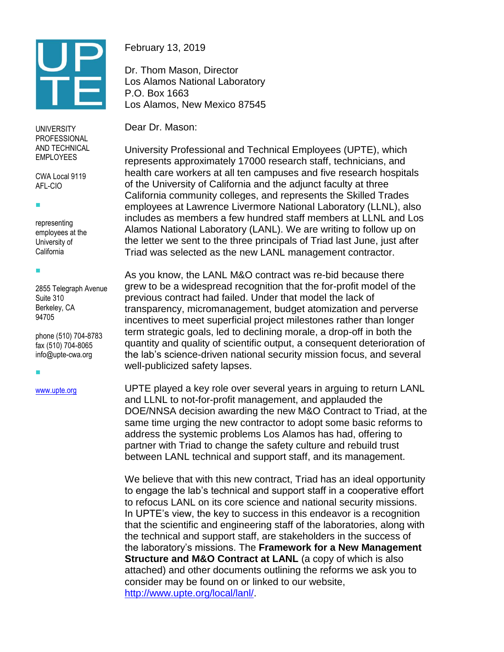

UNIVERSITY PROFESSIONAL AND TECHNICAL EMPLOYEES

CWA Local 9119 AFL-CIO

 $\blacksquare$ 

F.

representing employees at the University of California

2855 Telegraph Avenue Suite 310 Berkeley, CA 94705

phone (510) 704-8783 fax (510) 704-8065 info@upte-cwa.org

F.

[www.upte.org](http://www.upte.org/)

February 13, 2019

Dr. Thom Mason, Director Los Alamos National Laboratory P.O. Box 1663 Los Alamos, New Mexico 87545

Dear Dr. Mason:

University Professional and Technical Employees (UPTE), which represents approximately 17000 research staff, technicians, and health care workers at all ten campuses and five research hospitals of the University of California and the adjunct faculty at three California community colleges, and represents the Skilled Trades employees at Lawrence Livermore National Laboratory (LLNL), also includes as members a few hundred staff members at LLNL and Los Alamos National Laboratory (LANL). We are writing to follow up on the letter we sent to the three principals of Triad last June, just after Triad was selected as the new LANL management contractor.

As you know, the LANL M&O contract was re-bid because there grew to be a widespread recognition that the for-profit model of the previous contract had failed. Under that model the lack of transparency, micromanagement, budget atomization and perverse incentives to meet superficial project milestones rather than longer term strategic goals, led to declining morale, a drop-off in both the quantity and quality of scientific output, a consequent deterioration of the lab's science-driven national security mission focus, and several well-publicized safety lapses.

UPTE played a key role over several years in arguing to return LANL and LLNL to not-for-profit management, and applauded the DOE/NNSA decision awarding the new M&O Contract to Triad, at the same time urging the new contractor to adopt some basic reforms to address the systemic problems Los Alamos has had, offering to partner with Triad to change the safety culture and rebuild trust between LANL technical and support staff, and its management.

We believe that with this new contract, Triad has an ideal opportunity to engage the lab's technical and support staff in a cooperative effort to refocus LANL on its core science and national security missions. In UPTE's view, the key to success in this endeavor is a recognition that the scientific and engineering staff of the laboratories, along with the technical and support staff, are stakeholders in the success of the laboratory's missions. The **Framework for a New Management Structure and M&O Contract at LANL** (a copy of which is also attached) and other documents outlining the reforms we ask you to consider may be found on or linked to our website, [http://www.upte.org/local/lanl/.](http://www.upte.org/local/lanl/)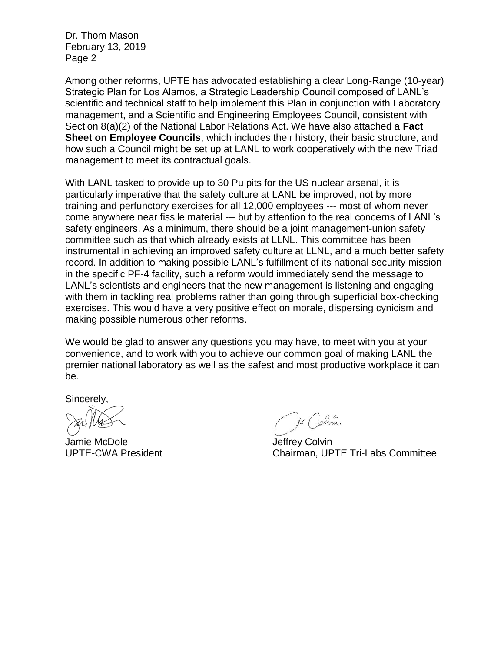Dr. Thom Mason February 13, 2019 Page 2

Among other reforms, UPTE has advocated establishing a clear Long-Range (10-year) Strategic Plan for Los Alamos, a Strategic Leadership Council composed of LANL's scientific and technical staff to help implement this Plan in conjunction with Laboratory management, and a Scientific and Engineering Employees Council, consistent with Section 8(a)(2) of the National Labor Relations Act. We have also attached a **Fact Sheet on Employee Councils**, which includes their history, their basic structure, and how such a Council might be set up at LANL to work cooperatively with the new Triad management to meet its contractual goals.

With LANL tasked to provide up to 30 Pu pits for the US nuclear arsenal, it is particularly imperative that the safety culture at LANL be improved, not by more training and perfunctory exercises for all 12,000 employees --- most of whom never come anywhere near fissile material --- but by attention to the real concerns of LANL's safety engineers. As a minimum, there should be a joint management-union safety committee such as that which already exists at LLNL. This committee has been instrumental in achieving an improved safety culture at LLNL, and a much better safety record. In addition to making possible LANL's fulfillment of its national security mission in the specific PF-4 facility, such a reform would immediately send the message to LANL's scientists and engineers that the new management is listening and engaging with them in tackling real problems rather than going through superficial box-checking exercises. This would have a very positive effect on morale, dispersing cynicism and making possible numerous other reforms.

We would be glad to answer any questions you may have, to meet with you at your convenience, and to work with you to achieve our common goal of making LANL the premier national laboratory as well as the safest and most productive workplace it can be.

Sincerely,

Jamie McDole **Grand Collection Collection** and Jeffrey Colvin

Mr Colom

UPTE-CWA President Chairman, UPTE Tri-Labs Committee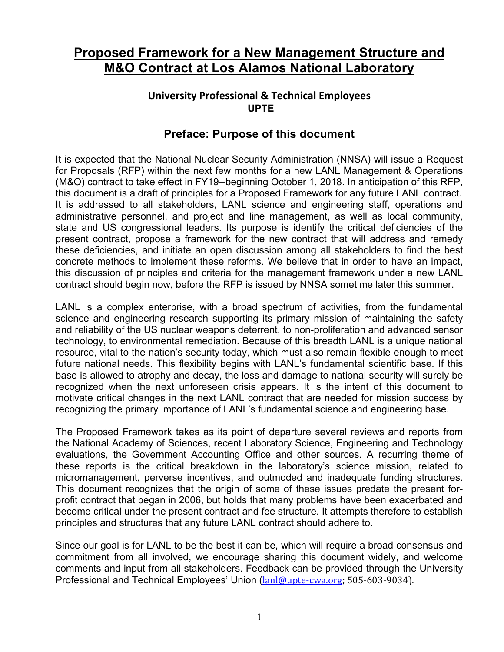## **Proposed Framework for a New Management Structure and M&O Contract at Los Alamos National Laboratory**

#### **University Professional & Technical Employees UPTE**

### **Preface: Purpose of this document**

It is expected that the National Nuclear Security Administration (NNSA) will issue a Request for Proposals (RFP) within the next few months for a new LANL Management & Operations (M&O) contract to take effect in FY19--beginning October 1, 2018. In anticipation of this RFP, this document is a draft of principles for a Proposed Framework for any future LANL contract. It is addressed to all stakeholders, LANL science and engineering staff, operations and administrative personnel, and project and line management, as well as local community, state and US congressional leaders. Its purpose is identify the critical deficiencies of the present contract, propose a framework for the new contract that will address and remedy these deficiencies, and initiate an open discussion among all stakeholders to find the best concrete methods to implement these reforms. We believe that in order to have an impact, this discussion of principles and criteria for the management framework under a new LANL contract should begin now, before the RFP is issued by NNSA sometime later this summer.

LANL is a complex enterprise, with a broad spectrum of activities, from the fundamental science and engineering research supporting its primary mission of maintaining the safety and reliability of the US nuclear weapons deterrent, to non-proliferation and advanced sensor technology, to environmental remediation. Because of this breadth LANL is a unique national resource, vital to the nation's security today, which must also remain flexible enough to meet future national needs. This flexibility begins with LANL's fundamental scientific base. If this base is allowed to atrophy and decay, the loss and damage to national security will surely be recognized when the next unforeseen crisis appears. It is the intent of this document to motivate critical changes in the next LANL contract that are needed for mission success by recognizing the primary importance of LANL's fundamental science and engineering base.

The Proposed Framework takes as its point of departure several reviews and reports from the National Academy of Sciences, recent Laboratory Science, Engineering and Technology evaluations, the Government Accounting Office and other sources. A recurring theme of these reports is the critical breakdown in the laboratory's science mission, related to micromanagement, perverse incentives, and outmoded and inadequate funding structures. This document recognizes that the origin of some of these issues predate the present forprofit contract that began in 2006, but holds that many problems have been exacerbated and become critical under the present contract and fee structure. It attempts therefore to establish principles and structures that any future LANL contract should adhere to.

Since our goal is for LANL to be the best it can be, which will require a broad consensus and commitment from all involved, we encourage sharing this document widely, and welcome comments and input from all stakeholders. Feedback can be provided through the University Professional and Technical Employees' Union (lanl@upte-cwa.org; 505-603-9034).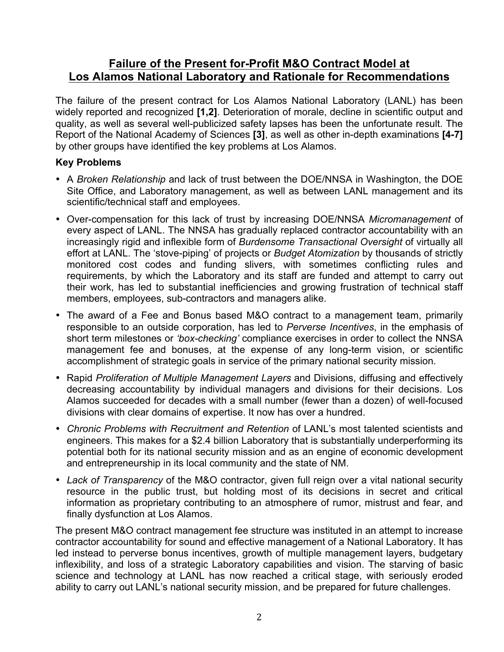### **Failure of the Present for-Profit M&O Contract Model at Los Alamos National Laboratory and Rationale for Recommendations**

The failure of the present contract for Los Alamos National Laboratory (LANL) has been widely reported and recognized **[1,2]**. Deterioration of morale, decline in scientific output and quality, as well as several well-publicized safety lapses has been the unfortunate result. The Report of the National Academy of Sciences **[3]**, as well as other in-depth examinations **[4-7]** by other groups have identified the key problems at Los Alamos.

#### **Key Problems**

- A *Broken Relationship* and lack of trust between the DOE/NNSA in Washington, the DOE Site Office, and Laboratory management, as well as between LANL management and its scientific/technical staff and employees.
- Over-compensation for this lack of trust by increasing DOE/NNSA *Micromanagement* of every aspect of LANL. The NNSA has gradually replaced contractor accountability with an increasingly rigid and inflexible form of *Burdensome Transactional Oversight* of virtually all effort at LANL. The 'stove-piping' of projects or *Budget Atomization* by thousands of strictly monitored cost codes and funding slivers, with sometimes conflicting rules and requirements, by which the Laboratory and its staff are funded and attempt to carry out their work, has led to substantial inefficiencies and growing frustration of technical staff members, employees, sub-contractors and managers alike.
- The award of a Fee and Bonus based M&O contract to a management team, primarily responsible to an outside corporation, has led to *Perverse Incentives*, in the emphasis of short term milestones or *'box-checking'* compliance exercises in order to collect the NNSA management fee and bonuses, at the expense of any long-term vision, or scientific accomplishment of strategic goals in service of the primary national security mission.
- Rapid *Proliferation of Multiple Management Layers* and Divisions, diffusing and effectively decreasing accountability by individual managers and divisions for their decisions. Los Alamos succeeded for decades with a small number (fewer than a dozen) of well-focused divisions with clear domains of expertise. It now has over a hundred.
- *Chronic Problems with Recruitment and Retention* of LANL's most talented scientists and engineers. This makes for a \$2.4 billion Laboratory that is substantially underperforming its potential both for its national security mission and as an engine of economic development and entrepreneurship in its local community and the state of NM.
- *Lack of Transparency* of the M&O contractor, given full reign over a vital national security resource in the public trust, but holding most of its decisions in secret and critical information as proprietary contributing to an atmosphere of rumor, mistrust and fear, and finally dysfunction at Los Alamos.

The present M&O contract management fee structure was instituted in an attempt to increase contractor accountability for sound and effective management of a National Laboratory. It has led instead to perverse bonus incentives, growth of multiple management layers, budgetary inflexibility, and loss of a strategic Laboratory capabilities and vision. The starving of basic science and technology at LANL has now reached a critical stage, with seriously eroded ability to carry out LANL's national security mission, and be prepared for future challenges.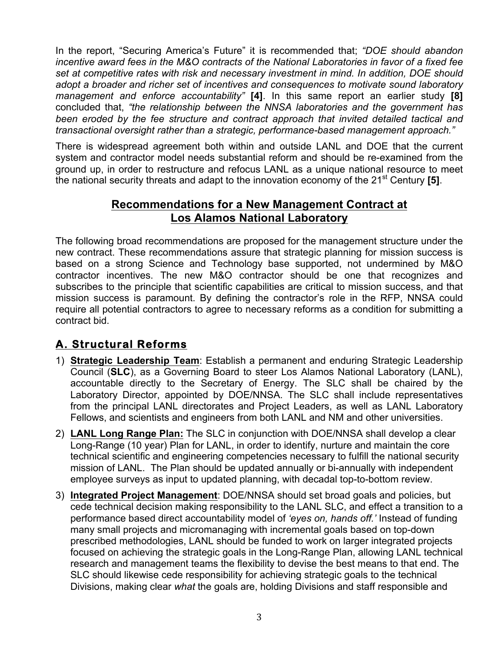In the report, "Securing America's Future" it is recommended that; *"DOE should abandon incentive award fees in the M&O contracts of the National Laboratories in favor of a fixed fee set at competitive rates with risk and necessary investment in mind. In addition, DOE should adopt a broader and richer set of incentives and consequences to motivate sound laboratory management and enforce accountability"* **[4]**. In this same report an earlier study **[8]** concluded that, *"the relationship between the NNSA laboratories and the government has been eroded by the fee structure and contract approach that invited detailed tactical and transactional oversight rather than a strategic, performance-based management approach."*

There is widespread agreement both within and outside LANL and DOE that the current system and contractor model needs substantial reform and should be re-examined from the ground up, in order to restructure and refocus LANL as a unique national resource to meet the national security threats and adapt to the innovation economy of the 21<sup>st</sup> Century [5].

### **Recommendations for a New Management Contract at Los Alamos National Laboratory**

The following broad recommendations are proposed for the management structure under the new contract. These recommendations assure that strategic planning for mission success is based on a strong Science and Technology base supported, not undermined by M&O contractor incentives. The new M&O contractor should be one that recognizes and subscribes to the principle that scientific capabilities are critical to mission success, and that mission success is paramount. By defining the contractor's role in the RFP, NNSA could require all potential contractors to agree to necessary reforms as a condition for submitting a contract bid.

## **A. Structural Reforms**

- 1) **Strategic Leadership Team**: Establish a permanent and enduring Strategic Leadership Council (**SLC**), as a Governing Board to steer Los Alamos National Laboratory (LANL), accountable directly to the Secretary of Energy. The SLC shall be chaired by the Laboratory Director, appointed by DOE/NNSA. The SLC shall include representatives from the principal LANL directorates and Project Leaders, as well as LANL Laboratory Fellows, and scientists and engineers from both LANL and NM and other universities.
- 2) **LANL Long Range Plan:** The SLC in conjunction with DOE/NNSA shall develop a clear Long-Range (10 year) Plan for LANL, in order to identify, nurture and maintain the core technical scientific and engineering competencies necessary to fulfill the national security mission of LANL. The Plan should be updated annually or bi-annually with independent employee surveys as input to updated planning, with decadal top-to-bottom review.
- 3) **Integrated Project Management**: DOE/NNSA should set broad goals and policies, but cede technical decision making responsibility to the LANL SLC, and effect a transition to a performance based direct accountability model of *'eyes on, hands off.'* Instead of funding many small projects and micromanaging with incremental goals based on top-down prescribed methodologies, LANL should be funded to work on larger integrated projects focused on achieving the strategic goals in the Long-Range Plan, allowing LANL technical research and management teams the flexibility to devise the best means to that end. The SLC should likewise cede responsibility for achieving strategic goals to the technical Divisions, making clear *what* the goals are, holding Divisions and staff responsible and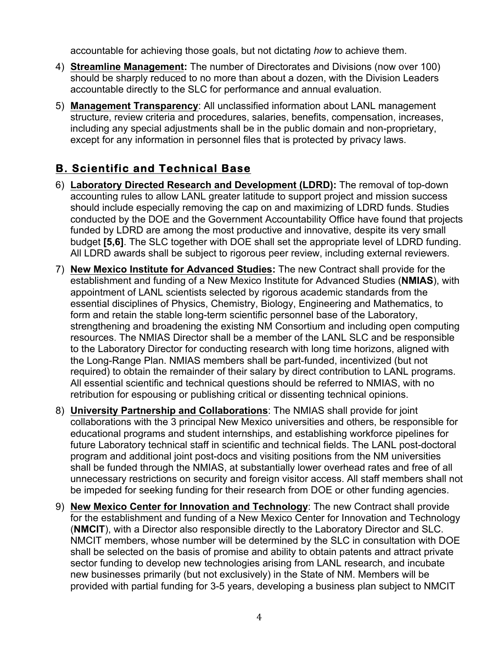accountable for achieving those goals, but not dictating *how* to achieve them.

- 4) **Streamline Management:** The number of Directorates and Divisions (now over 100) should be sharply reduced to no more than about a dozen, with the Division Leaders accountable directly to the SLC for performance and annual evaluation.
- 5) **Management Transparency**: All unclassified information about LANL management structure, review criteria and procedures, salaries, benefits, compensation, increases, including any special adjustments shall be in the public domain and non-proprietary, except for any information in personnel files that is protected by privacy laws.

# **B. Scientific and Technical Base**

- 6) **Laboratory Directed Research and Development (LDRD):** The removal of top-down accounting rules to allow LANL greater latitude to support project and mission success should include especially removing the cap on and maximizing of LDRD funds. Studies conducted by the DOE and the Government Accountability Office have found that projects funded by LDRD are among the most productive and innovative, despite its very small budget **[5,6]**. The SLC together with DOE shall set the appropriate level of LDRD funding. All LDRD awards shall be subject to rigorous peer review, including external reviewers.
- 7) **New Mexico Institute for Advanced Studies:** The new Contract shall provide for the establishment and funding of a New Mexico Institute for Advanced Studies (**NMIAS**), with appointment of LANL scientists selected by rigorous academic standards from the essential disciplines of Physics, Chemistry, Biology, Engineering and Mathematics, to form and retain the stable long-term scientific personnel base of the Laboratory, strengthening and broadening the existing NM Consortium and including open computing resources. The NMIAS Director shall be a member of the LANL SLC and be responsible to the Laboratory Director for conducting research with long time horizons, aligned with the Long-Range Plan. NMIAS members shall be part-funded, incentivized (but not required) to obtain the remainder of their salary by direct contribution to LANL programs. All essential scientific and technical questions should be referred to NMIAS, with no retribution for espousing or publishing critical or dissenting technical opinions.
- 8) **University Partnership and Collaborations**: The NMIAS shall provide for joint collaborations with the 3 principal New Mexico universities and others, be responsible for educational programs and student internships, and establishing workforce pipelines for future Laboratory technical staff in scientific and technical fields. The LANL post-doctoral program and additional joint post-docs and visiting positions from the NM universities shall be funded through the NMIAS, at substantially lower overhead rates and free of all unnecessary restrictions on security and foreign visitor access. All staff members shall not be impeded for seeking funding for their research from DOE or other funding agencies.
- 9) **New Mexico Center for Innovation and Technology**: The new Contract shall provide for the establishment and funding of a New Mexico Center for Innovation and Technology (**NMCIT**), with a Director also responsible directly to the Laboratory Director and SLC. NMCIT members, whose number will be determined by the SLC in consultation with DOE shall be selected on the basis of promise and ability to obtain patents and attract private sector funding to develop new technologies arising from LANL research, and incubate new businesses primarily (but not exclusively) in the State of NM. Members will be provided with partial funding for 3-5 years, developing a business plan subject to NMCIT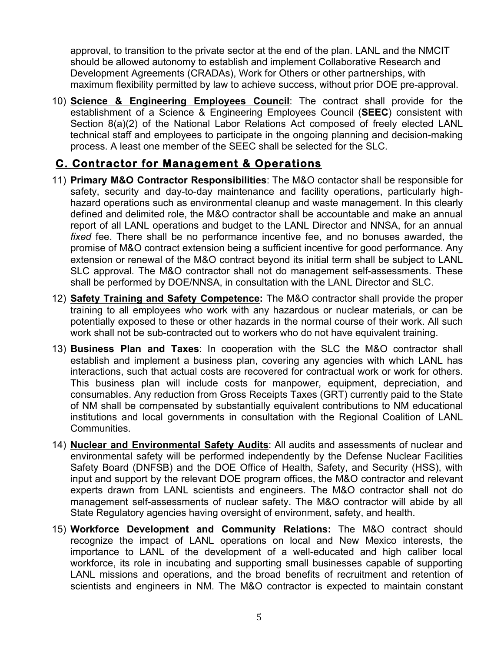approval, to transition to the private sector at the end of the plan. LANL and the NMCIT should be allowed autonomy to establish and implement Collaborative Research and Development Agreements (CRADAs), Work for Others or other partnerships, with maximum flexibility permitted by law to achieve success, without prior DOE pre-approval.

10) **Science & Engineering Employees Council**: The contract shall provide for the establishment of a Science & Engineering Employees Council (**SEEC**) consistent with Section 8(a)(2) of the National Labor Relations Act composed of freely elected LANL technical staff and employees to participate in the ongoing planning and decision-making process. A least one member of the SEEC shall be selected for the SLC.

## **C. Contractor for Management & Operations**

- 11) **Primary M&O Contractor Responsibilities**: The M&O contactor shall be responsible for safety, security and day-to-day maintenance and facility operations, particularly highhazard operations such as environmental cleanup and waste management. In this clearly defined and delimited role, the M&O contractor shall be accountable and make an annual report of all LANL operations and budget to the LANL Director and NNSA, for an annual *fixed* fee. There shall be no performance incentive fee, and no bonuses awarded, the promise of M&O contract extension being a sufficient incentive for good performance. Any extension or renewal of the M&O contract beyond its initial term shall be subject to LANL SLC approval. The M&O contractor shall not do management self-assessments. These shall be performed by DOE/NNSA, in consultation with the LANL Director and SLC.
- 12) **Safety Training and Safety Competence:** The M&O contractor shall provide the proper training to all employees who work with any hazardous or nuclear materials, or can be potentially exposed to these or other hazards in the normal course of their work. All such work shall not be sub-contracted out to workers who do not have equivalent training.
- 13) **Business Plan and Taxes**: In cooperation with the SLC the M&O contractor shall establish and implement a business plan, covering any agencies with which LANL has interactions, such that actual costs are recovered for contractual work or work for others. This business plan will include costs for manpower, equipment, depreciation, and consumables. Any reduction from Gross Receipts Taxes (GRT) currently paid to the State of NM shall be compensated by substantially equivalent contributions to NM educational institutions and local governments in consultation with the Regional Coalition of LANL Communities.
- 14) **Nuclear and Environmental Safety Audits**: All audits and assessments of nuclear and environmental safety will be performed independently by the Defense Nuclear Facilities Safety Board (DNFSB) and the DOE Office of Health, Safety, and Security (HSS), with input and support by the relevant DOE program offices, the M&O contractor and relevant experts drawn from LANL scientists and engineers. The M&O contractor shall not do management self-assessments of nuclear safety. The M&O contractor will abide by all State Regulatory agencies having oversight of environment, safety, and health.
- 15) **Workforce Development and Community Relations:** The M&O contract should recognize the impact of LANL operations on local and New Mexico interests, the importance to LANL of the development of a well-educated and high caliber local workforce, its role in incubating and supporting small businesses capable of supporting LANL missions and operations, and the broad benefits of recruitment and retention of scientists and engineers in NM. The M&O contractor is expected to maintain constant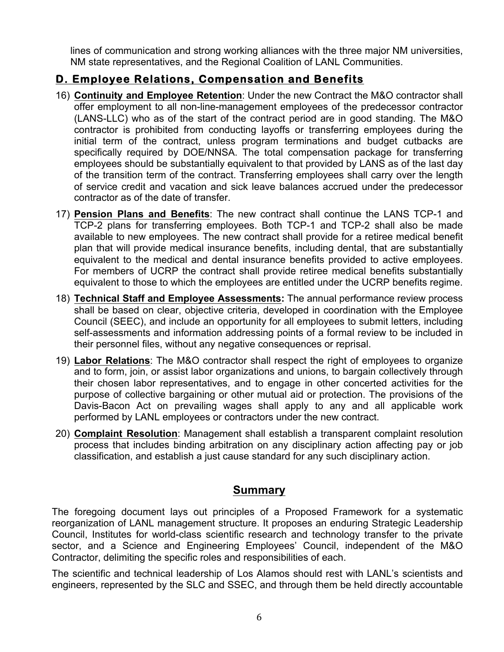lines of communication and strong working alliances with the three major NM universities, NM state representatives, and the Regional Coalition of LANL Communities.

## **D. Employee Relations, Compensation and Benefits**

- 16) **Continuity and Employee Retention**: Under the new Contract the M&O contractor shall offer employment to all non-line-management employees of the predecessor contractor (LANS-LLC) who as of the start of the contract period are in good standing. The M&O contractor is prohibited from conducting layoffs or transferring employees during the initial term of the contract, unless program terminations and budget cutbacks are specifically required by DOE/NNSA. The total compensation package for transferring employees should be substantially equivalent to that provided by LANS as of the last day of the transition term of the contract. Transferring employees shall carry over the length of service credit and vacation and sick leave balances accrued under the predecessor contractor as of the date of transfer.
- 17) **Pension Plans and Benefits**: The new contract shall continue the LANS TCP-1 and TCP-2 plans for transferring employees. Both TCP-1 and TCP-2 shall also be made available to new employees. The new contract shall provide for a retiree medical benefit plan that will provide medical insurance benefits, including dental, that are substantially equivalent to the medical and dental insurance benefits provided to active employees. For members of UCRP the contract shall provide retiree medical benefits substantially equivalent to those to which the employees are entitled under the UCRP benefits regime.
- 18) **Technical Staff and Employee Assessments:** The annual performance review process shall be based on clear, objective criteria, developed in coordination with the Employee Council (SEEC), and include an opportunity for all employees to submit letters, including self-assessments and information addressing points of a formal review to be included in their personnel files, without any negative consequences or reprisal.
- 19) **Labor Relations**: The M&O contractor shall respect the right of employees to organize and to form, join, or assist labor organizations and unions, to bargain collectively through their chosen labor representatives, and to engage in other concerted activities for the purpose of collective bargaining or other mutual aid or protection. The provisions of the Davis-Bacon Act on prevailing wages shall apply to any and all applicable work performed by LANL employees or contractors under the new contract.
- 20) **Complaint Resolution**: Management shall establish a transparent complaint resolution process that includes binding arbitration on any disciplinary action affecting pay or job classification, and establish a just cause standard for any such disciplinary action.

## **Summary**

The foregoing document lays out principles of a Proposed Framework for a systematic reorganization of LANL management structure. It proposes an enduring Strategic Leadership Council, Institutes for world-class scientific research and technology transfer to the private sector, and a Science and Engineering Employees' Council, independent of the M&O Contractor, delimiting the specific roles and responsibilities of each.

The scientific and technical leadership of Los Alamos should rest with LANL's scientists and engineers, represented by the SLC and SSEC, and through them be held directly accountable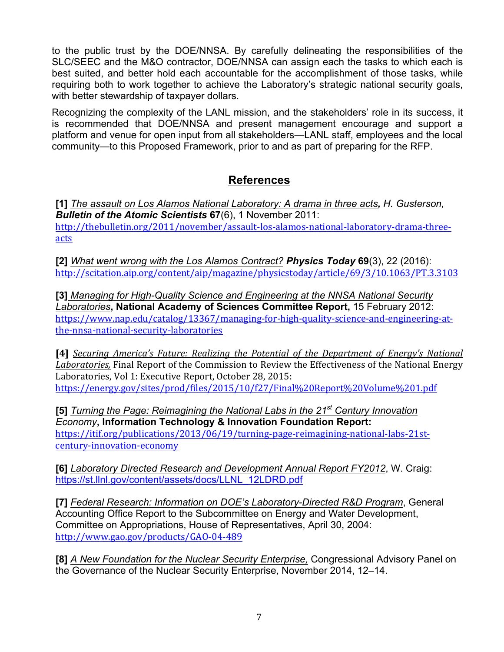to the public trust by the DOE/NNSA. By carefully delineating the responsibilities of the SLC/SEEC and the M&O contractor, DOE/NNSA can assign each the tasks to which each is best suited, and better hold each accountable for the accomplishment of those tasks, while requiring both to work together to achieve the Laboratory's strategic national security goals, with better stewardship of taxpayer dollars.

Recognizing the complexity of the LANL mission, and the stakeholders' role in its success, it is recommended that DOE/NNSA and present management encourage and support a platform and venue for open input from all stakeholders—LANL staff, employees and the local community—to this Proposed Framework, prior to and as part of preparing for the RFP.

## **References**

**[1]** *The assault on Los Alamos National Laboratory: A drama in three acts, H. Gusterson, Bulletin of the Atomic Scientists* **67**(6), 1 November 2011: http://thebulletin.org/2011/november/assault-los-alamos-national-laboratory-drama-threeacts

**[2]** *What went wrong with the Los Alamos Contract? Physics Today* **69**(3), 22 (2016): http://scitation.aip.org/content/aip/magazine/physicstoday/article/69/3/10.1063/PT.3.3103

**[3]** *Managing for High-Quality Science and Engineering at the NNSA National Security Laboratories***, National Academy of Sciences Committee Report,** 15 February 2012: https://www.nap.edu/catalog/13367/managing-for-high-quality-science-and-engineering-atthe-nnsa-national-security-laboratories

[4] *Securing America's Future: Realizing the Potential of the Department of Energy's National* Laboratories, Final Report of the Commission to Review the Effectiveness of the National Energy Laboratories, Vol 1: Executive Report, October 28, 2015: https://energy.gov/sites/prod/files/2015/10/f27/Final%20Report%20Volume%201.pdf

**[5]** *Turning the Page: Reimagining the National Labs in the 21st Century Innovation Economy***, Information Technology & Innovation Foundation Report:** https://itif.org/publications/2013/06/19/turning-page-reimagining-national-labs-21stcentury-innovation-economy

**[6]** *Laboratory Directed Research and Development Annual Report FY2012*, W. Craig: https://st.llnl.gov/content/assets/docs/LLNL\_12LDRD.pdf

**[7]** *Federal Research: Information on DOE's Laboratory-Directed R&D Program*, General Accounting Office Report to the Subcommittee on Energy and Water Development, Committee on Appropriations, House of Representatives, April 30, 2004: http://www.gao.gov/products/GAO-04-489

**[8]** *A New Foundation for the Nuclear Security Enterprise,* Congressional Advisory Panel on the Governance of the Nuclear Security Enterprise, November 2014, 12–14.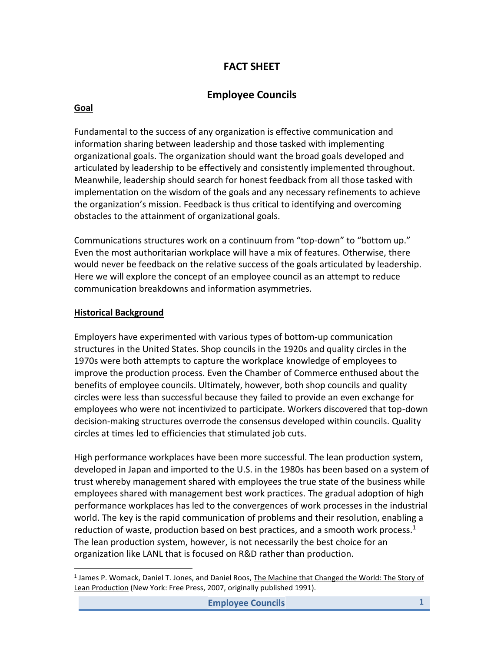### **FACT SHEET**

## **Employee Councils**

#### **Goal**

Fundamental to the success of any organization is effective communication and information sharing between leadership and those tasked with implementing organizational goals. The organization should want the broad goals developed and articulated by leadership to be effectively and consistently implemented throughout. Meanwhile, leadership should search for honest feedback from all those tasked with implementation on the wisdom of the goals and any necessary refinements to achieve the organization's mission. Feedback is thus critical to identifying and overcoming obstacles to the attainment of organizational goals.

Communications structures work on a continuum from "top-down" to "bottom up." Even the most authoritarian workplace will have a mix of features. Otherwise, there would never be feedback on the relative success of the goals articulated by leadership. Here we will explore the concept of an employee council as an attempt to reduce communication breakdowns and information asymmetries.

#### **Historical Background**

l

Employers have experimented with various types of bottom-up communication structures in the United States. Shop councils in the 1920s and quality circles in the 1970s were both attempts to capture the workplace knowledge of employees to improve the production process. Even the Chamber of Commerce enthused about the benefits of employee councils. Ultimately, however, both shop councils and quality circles were less than successful because they failed to provide an even exchange for employees who were not incentivized to participate. Workers discovered that top-down decision-making structures overrode the consensus developed within councils. Quality circles at times led to efficiencies that stimulated job cuts.

High performance workplaces have been more successful. The lean production system, developed in Japan and imported to the U.S. in the 1980s has been based on a system of trust whereby management shared with employees the true state of the business while employees shared with management best work practices. The gradual adoption of high performance workplaces has led to the convergences of work processes in the industrial world. The key is the rapid communication of problems and their resolution, enabling a reduction of waste, production based on best practices, and a smooth work process. $<sup>1</sup>$ </sup> The lean production system, however, is not necessarily the best choice for an organization like LANL that is focused on R&D rather than production.

<sup>&</sup>lt;sup>1</sup> James P. Womack, Daniel T. Jones, and Daniel Roos, The Machine that Changed the World: The Story of Lean Production (New York: Free Press, 2007, originally published 1991).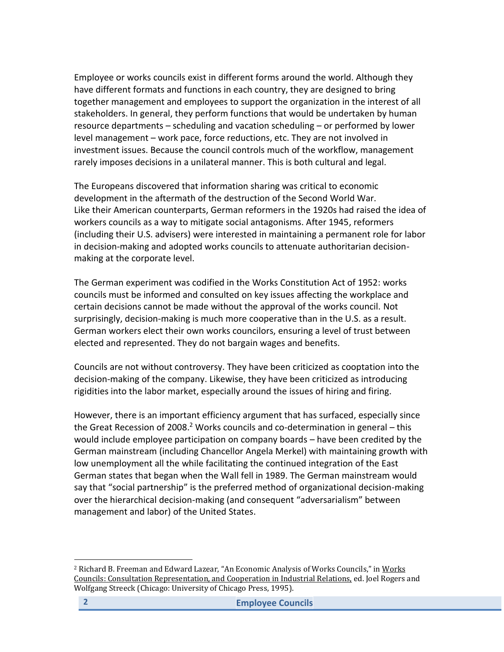Employee or works councils exist in different forms around the world. Although they have different formats and functions in each country, they are designed to bring together management and employees to support the organization in the interest of all stakeholders. In general, they perform functions that would be undertaken by human resource departments – scheduling and vacation scheduling – or performed by lower level management – work pace, force reductions, etc. They are not involved in investment issues. Because the council controls much of the workflow, management rarely imposes decisions in a unilateral manner. This is both cultural and legal.

The Europeans discovered that information sharing was critical to economic development in the aftermath of the destruction of the Second World War. Like their American counterparts, German reformers in the 1920s had raised the idea of workers councils as a way to mitigate social antagonisms. After 1945, reformers (including their U.S. advisers) were interested in maintaining a permanent role for labor in decision-making and adopted works councils to attenuate authoritarian decisionmaking at the corporate level.

The German experiment was codified in the Works Constitution Act of 1952: works councils must be informed and consulted on key issues affecting the workplace and certain decisions cannot be made without the approval of the works council. Not surprisingly, decision-making is much more cooperative than in the U.S. as a result. German workers elect their own works councilors, ensuring a level of trust between elected and represented. They do not bargain wages and benefits.

Councils are not without controversy. They have been criticized as cooptation into the decision-making of the company. Likewise, they have been criticized as introducing rigidities into the labor market, especially around the issues of hiring and firing.

However, there is an important efficiency argument that has surfaced, especially since the Great Recession of 2008.<sup>2</sup> Works councils and co-determination in general – this would include employee participation on company boards – have been credited by the German mainstream (including Chancellor Angela Merkel) with maintaining growth with low unemployment all the while facilitating the continued integration of the East German states that began when the Wall fell in 1989. The German mainstream would say that "social partnership" is the preferred method of organizational decision-making over the hierarchical decision-making (and consequent "adversarialism" between management and labor) of the United States.

 $\overline{\phantom{a}}$ 

<sup>&</sup>lt;sup>2</sup> Richard B. Freeman and Edward Lazear, "An Economic Analysis of Works Councils," in Works Councils: Consultation Representation, and Cooperation in Industrial Relations, ed. Joel Rogers and Wolfgang Streeck (Chicago: University of Chicago Press, 1995).